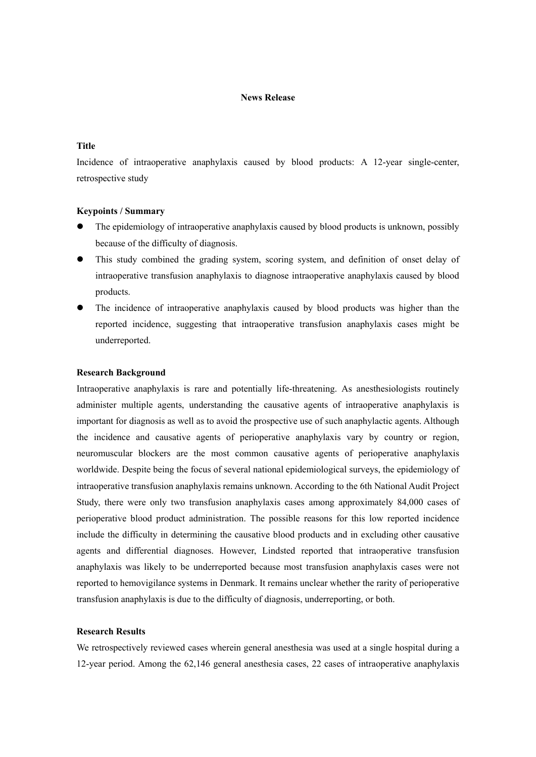### **News Release**

# **Title**

Incidence of intraoperative anaphylaxis caused by blood products: A 12-year single-center, retrospective study

### **Keypoints / Summary**

- The epidemiology of intraoperative anaphylaxis caused by blood products is unknown, possibly because of the difficulty of diagnosis.
- This study combined the grading system, scoring system, and definition of onset delay of intraoperative transfusion anaphylaxis to diagnose intraoperative anaphylaxis caused by blood products.
- The incidence of intraoperative anaphylaxis caused by blood products was higher than the reported incidence, suggesting that intraoperative transfusion anaphylaxis cases might be underreported.

### **Research Background**

Intraoperative anaphylaxis is rare and potentially life-threatening. As anesthesiologists routinely administer multiple agents, understanding the causative agents of intraoperative anaphylaxis is important for diagnosis as well as to avoid the prospective use of such anaphylactic agents. Although the incidence and causative agents of perioperative anaphylaxis vary by country or region, neuromuscular blockers are the most common causative agents of perioperative anaphylaxis worldwide. Despite being the focus of several national epidemiological surveys, the epidemiology of intraoperative transfusion anaphylaxis remains unknown. According to the 6th National Audit Project Study, there were only two transfusion anaphylaxis cases among approximately 84,000 cases of perioperative blood product administration. The possible reasons for this low reported incidence include the difficulty in determining the causative blood products and in excluding other causative agents and differential diagnoses. However, Lindsted reported that intraoperative transfusion anaphylaxis was likely to be underreported because most transfusion anaphylaxis cases were not reported to hemovigilance systems in Denmark. It remains unclear whether the rarity of perioperative transfusion anaphylaxis is due to the difficulty of diagnosis, underreporting, or both.

## **Research Results**

We retrospectively reviewed cases wherein general anesthesia was used at a single hospital during a 12-year period. Among the 62,146 general anesthesia cases, 22 cases of intraoperative anaphylaxis